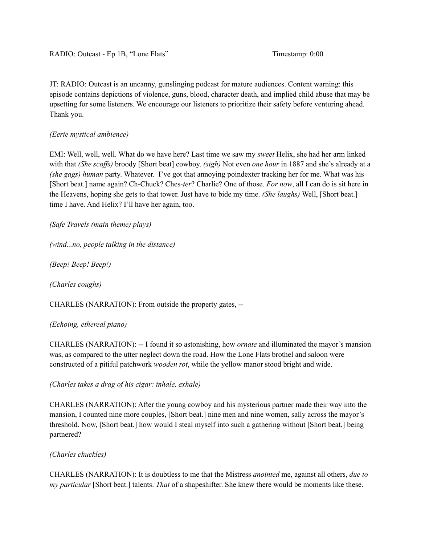JT: RADIO: Outcast is an uncanny, gunslinging podcast for mature audiences. Content warning: this episode contains depictions of violence, guns, blood, character death, and implied child abuse that may be upsetting for some listeners. We encourage our listeners to prioritize their safety before venturing ahead. Thank you.

## *(Eerie mystical ambience)*

EMI: Well, well, well. What do we have here? Last time we saw my *sweet* Helix, she had her arm linked with that *(She scoffs)* broody [Short beat] cowboy. *(sigh)* Not even *one hour* in 1887 and she's already at a *(she gags) human* party. Whatever. I've got that annoying poindexter tracking her for me. What was his [Short beat.] name again? Ch-Chuck? Ches*-ter*? Charlie? One of those. *For now*, all I can do is sit here in the Heavens, hoping she gets to that tower. Just have to bide my time. *(She laughs)* Well, [Short beat.] time I have. And Helix? I'll have her again, too.

*(Safe Travels (main theme) plays)*

*(wind...no, people talking in the distance)*

*(Beep! Beep! Beep!)*

*(Charles coughs)*

CHARLES (NARRATION): From outside the property gates, --

## *(Echoing, ethereal piano)*

CHARLES (NARRATION): -- I found it so astonishing, how *ornate* and illuminated the mayor's mansion was, as compared to the utter neglect down the road. How the Lone Flats brothel and saloon were constructed of a pitiful patchwork *wooden rot*, while the yellow manor stood bright and wide.

*(Charles takes a drag of his cigar: inhale, exhale)*

CHARLES (NARRATION): After the young cowboy and his mysterious partner made their way into the mansion, I counted nine more couples, [Short beat.] nine men and nine women, sally across the mayor's threshold. Now, [Short beat.] how would I steal myself into such a gathering without [Short beat.] being partnered?

## *(Charles chuckles)*

CHARLES (NARRATION): It is doubtless to me that the Mistress *anointed* me, against all others, *due to my particular* [Short beat.] talents. *That* of a shapeshifter. She knew there would be moments like these.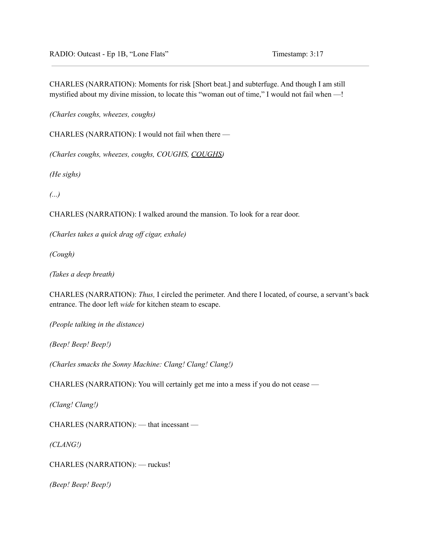CHARLES (NARRATION): Moments for risk [Short beat.] and subterfuge. And though I am still mystified about my divine mission, to locate this "woman out of time," I would not fail when —!

*(Charles coughs, wheezes, coughs)*

CHARLES (NARRATION): I would not fail when there —

*(Charles coughs, wheezes, coughs, COUGHS, COUGHS)*

*(He sighs)*

*(...)*

CHARLES (NARRATION): I walked around the mansion. To look for a rear door.

*(Charles takes a quick drag of cigar, exhale)*

*(Cough)*

*(Takes a deep breath)*

CHARLES (NARRATION): *Thus,* I circled the perimeter. And there I located, of course, a servant's back entrance. The door left *wide* for kitchen steam to escape.

*(People talking in the distance)*

*(Beep! Beep! Beep!)*

*(Charles smacks the Sonny Machine: Clang! Clang! Clang!)*

CHARLES (NARRATION): You will certainly get me into a mess if you do not cease —

*(Clang! Clang!)*

CHARLES (NARRATION): — that incessant —

*(CLANG!)*

CHARLES (NARRATION): — ruckus!

*(Beep! Beep! Beep!)*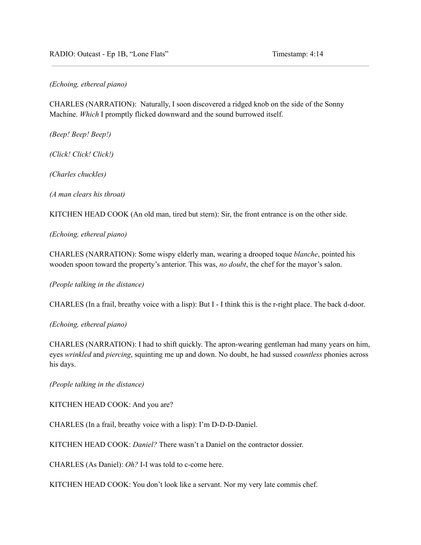RADIO: Outcast - Ep 1B, "Lone Flats" Timestamp: 4:14

*(Echoing, ethereal piano)*

CHARLES (NARRATION): Naturally, I soon discovered a ridged knob on the side of the Sonny Machine. *Which* I promptly flicked downward and the sound burrowed itself.

*(Beep! Beep! Beep!)*

*(Click! Click! Click!)*

*(Charles chuckles)*

*(A man clears his throat)*

KITCHEN HEAD COOK (An old man, tired but stern): Sir, the front entrance is on the other side.

*(Echoing, ethereal piano)*

CHARLES (NARRATION): Some wispy elderly man, wearing a drooped toque *blanche*, pointed his wooden spoon toward the property's anterior. This was, *no doubt*, the chef for the mayor's salon.

*(People talking in the distance)*

CHARLES (In a frail, breathy voice with a lisp): But I - I think this is the r-right place. The back d-door.

*(Echoing, ethereal piano)*

CHARLES (NARRATION): I had to shift quickly. The apron-wearing gentleman had many years on him, eyes *wrinkled* and *piercing*, squinting me up and down. No doubt, he had sussed *countless* phonies across his days.

*(People talking in the distance)*

KITCHEN HEAD COOK: And you are?

CHARLES (In a frail, breathy voice with a lisp): I'm D-D-D-Daniel.

KITCHEN HEAD COOK: *Daniel?* There wasn't a Daniel on the contractor dossier.

CHARLES (As Daniel): *Oh?* I-I was told to c-come here.

KITCHEN HEAD COOK: You don't look like a servant. Nor my very late commis chef.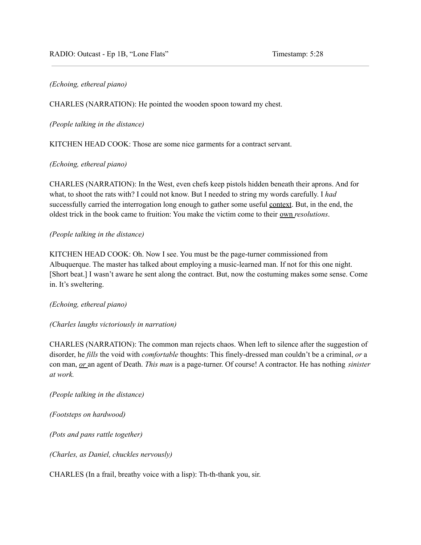### *(Echoing, ethereal piano)*

CHARLES (NARRATION): He pointed the wooden spoon toward my chest.

*(People talking in the distance)*

KITCHEN HEAD COOK: Those are some nice garments for a contract servant.

### *(Echoing, ethereal piano)*

CHARLES (NARRATION): In the West, even chefs keep pistols hidden beneath their aprons. And for what, to shoot the rats with? I could not know. But I needed to string my words carefully. I *had* successfully carried the interrogation long enough to gather some useful context. But, in the end, the oldest trick in the book came to fruition: You make the victim come to their own *resolutions*.

### *(People talking in the distance)*

KITCHEN HEAD COOK: Oh. Now I see. You must be the page-turner commissioned from Albuquerque. The master has talked about employing a music-learned man. If not for this one night. [Short beat.] I wasn't aware he sent along the contract. But, now the costuming makes some sense. Come in. It's sweltering.

## *(Echoing, ethereal piano)*

## *(Charles laughs victoriously in narration)*

CHARLES (NARRATION): The common man rejects chaos. When left to silence after the suggestion of disorder, he *fills* the void with *comfortable* thoughts: This finely-dressed man couldn't be a criminal, *or* a con man, *or* an agent of Death. *This man* is a page-turner. Of course! A contractor. He has nothing *sinister at work.*

*(People talking in the distance)*

*(Footsteps on hardwood)*

*(Pots and pans rattle together)*

*(Charles, as Daniel, chuckles nervously)*

CHARLES (In a frail, breathy voice with a lisp): Th-th-thank you, sir.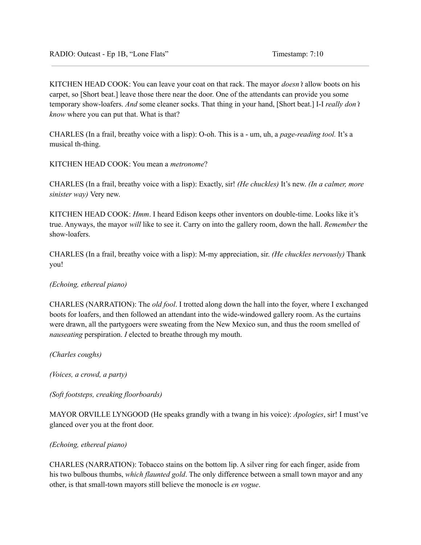KITCHEN HEAD COOK: You can leave your coat on that rack. The mayor *doesn't* allow boots on his carpet, so [Short beat.] leave those there near the door. One of the attendants can provide you some temporary show-loafers. *And* some cleaner socks. That thing in your hand, [Short beat.] I-I *really don't know* where you can put that. What is that?

CHARLES (In a frail, breathy voice with a lisp): O-oh. This is a - um, uh, a *page-reading tool.* It's a musical th-thing.

KITCHEN HEAD COOK: You mean a *metronome*?

CHARLES (In a frail, breathy voice with a lisp): Exactly, sir! *(He chuckles)* It's new. *(In a calmer, more sinister way)* Very new.

KITCHEN HEAD COOK: *Hmm*. I heard Edison keeps other inventors on double-time. Looks like it's true. Anyways, the mayor *will* like to see it. Carry on into the gallery room, down the hall. *Remember* the show-loafers.

CHARLES (In a frail, breathy voice with a lisp): M-my appreciation, sir. *(He chuckles nervously)* Thank you!

#### *(Echoing, ethereal piano)*

CHARLES (NARRATION): The *old fool*. I trotted along down the hall into the foyer, where I exchanged boots for loafers, and then followed an attendant into the wide-windowed gallery room. As the curtains were drawn, all the partygoers were sweating from the New Mexico sun, and thus the room smelled of *nauseating* perspiration. *I* elected to breathe through my mouth.

*(Charles coughs)*

*(Voices, a crowd, a party)*

*(Soft footsteps, creaking floorboards)*

MAYOR ORVILLE LYNGOOD (He speaks grandly with a twang in his voice): *Apologies*, sir! I must've glanced over you at the front door.

### *(Echoing, ethereal piano)*

CHARLES (NARRATION): Tobacco stains on the bottom lip. A silver ring for each finger, aside from his two bulbous thumbs, *which flaunted gold*. The only difference between a small town mayor and any other, is that small-town mayors still believe the monocle is *en vogue*.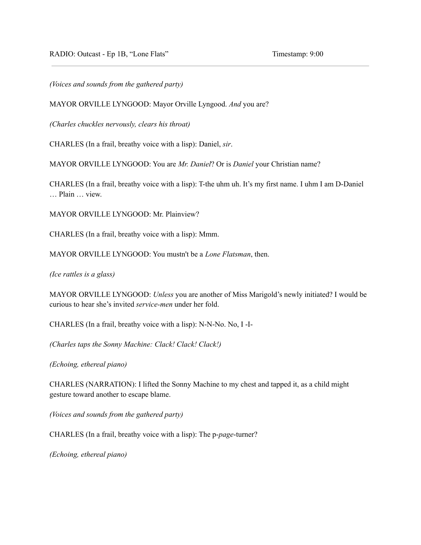RADIO: Outcast - Ep 1B, "Lone Flats" Timestamp: 9:00

*(Voices and sounds from the gathered party)*

MAYOR ORVILLE LYNGOOD: Mayor Orville Lyngood. *And* you are?

*(Charles chuckles nervously, clears his throat)*

CHARLES (In a frail, breathy voice with a lisp): Daniel, *sir*.

MAYOR ORVILLE LYNGOOD: You are *Mr. Daniel*? Or is *Daniel* your Christian name?

CHARLES (In a frail, breathy voice with a lisp): T-the uhm uh. It's my first name. I uhm I am D-Daniel … Plain … view.

MAYOR ORVILLE LYNGOOD: Mr. Plainview?

CHARLES (In a frail, breathy voice with a lisp): Mmm.

MAYOR ORVILLE LYNGOOD: You mustn't be a *Lone Flatsman*, then.

*(Ice rattles is a glass)*

MAYOR ORVILLE LYNGOOD: *Unless* you are another of Miss Marigold's newly initiated? I would be curious to hear she's invited *service-men* under her fold.

CHARLES (In a frail, breathy voice with a lisp): N-N-No. No, I -I-

*(Charles taps the Sonny Machine: Clack! Clack! Clack!)*

*(Echoing, ethereal piano)*

CHARLES (NARRATION): I lifted the Sonny Machine to my chest and tapped it, as a child might gesture toward another to escape blame.

*(Voices and sounds from the gathered party)*

CHARLES (In a frail, breathy voice with a lisp): The p-*page*-turner?

*(Echoing, ethereal piano)*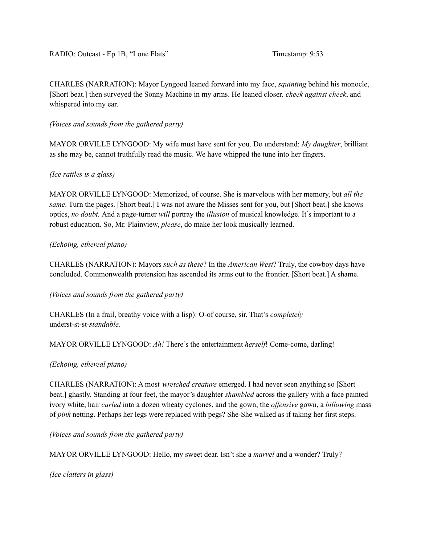CHARLES (NARRATION): Mayor Lyngood leaned forward into my face, *squinting* behind his monocle, [Short beat.] then surveyed the Sonny Machine in my arms. He leaned closer*, cheek against cheek*, and whispered into my ear.

*(Voices and sounds from the gathered party)*

MAYOR ORVILLE LYNGOOD: My wife must have sent for you. Do understand: *My daughter*, brilliant as she may be, cannot truthfully read the music. We have whipped the tune into her fingers.

### *(Ice rattles is a glass)*

MAYOR ORVILLE LYNGOOD: Memorized, of course. She is marvelous with her memory, but *all the same*. Turn the pages. [Short beat.] I was not aware the Misses sent for you, but [Short beat.] she knows optics, *no doubt.* And a page-turner *will* portray the *illusion* of musical knowledge. It's important to a robust education. So, Mr. Plainview, *please*, do make her look musically learned.

### *(Echoing, ethereal piano)*

CHARLES (NARRATION): Mayors *such as these*? In the *American West*? Truly, the cowboy days have concluded. Commonwealth pretension has ascended its arms out to the frontier. [Short beat.] A shame.

*(Voices and sounds from the gathered party)*

CHARLES (In a frail, breathy voice with a lisp): O-of course, sir. That's *completely* underst-st-st-*standable.*

MAYOR ORVILLE LYNGOOD: *Ah!* There's the entertainment *herself*! Come-come, darling!

#### *(Echoing, ethereal piano)*

CHARLES (NARRATION): A most *wretched creature* emerged. I had never seen anything so [Short beat.] ghastly. Standing at four feet, the mayor's daughter *shambled* across the gallery with a face painted ivory white, hair *curled* into a dozen wheaty cyclones, and the gown, the *offensive* gown, a *billowing* mass of *pink* netting. Perhaps her legs were replaced with pegs? She-She walked as if taking her first steps.

*(Voices and sounds from the gathered party)*

MAYOR ORVILLE LYNGOOD: Hello, my sweet dear. Isn't she a *marvel* and a wonder? Truly?

*(Ice clatters in glass)*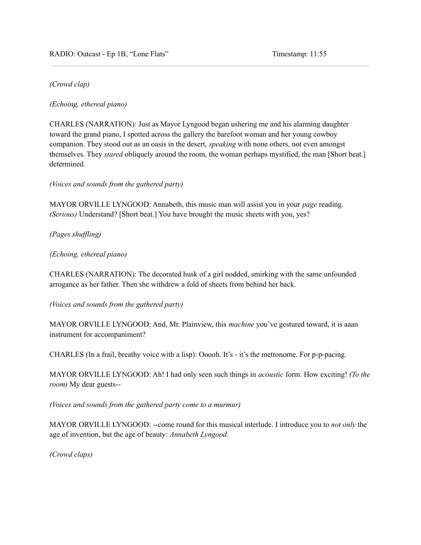## *(Crowd clap)*

*(Echoing, ethereal piano)*

CHARLES (NARRATION): Just as Mayor Lyngood began ushering me and his alarming daughter toward the grand piano, I spotted across the gallery the barefoot woman and her young cowboy companion. They stood out as an oasis in the desert, *speaking* with none others, not even amongst themselves. They *stared* obliquely around the room, the woman perhaps mystified, the man [Short beat.] determined.

*(Voices and sounds from the gathered party)*

MAYOR ORVILLE LYNGOOD: Annabeth, this music man will assist you in your *page* reading. *(Serious)* Understand? [Short beat.] You have brought the music sheets with you, yes?

*(Pages shuf ling)*

*(Echoing, ethereal piano)*

CHARLES (NARRATION): The decorated husk of a girl nodded, smirking with the same unfounded arrogance as her father. Then she withdrew a fold of sheets from behind her back.

*(Voices and sounds from the gathered party)*

MAYOR ORVILLE LYNGOOD: And, Mr. Plainview, this *machine* you've gestured toward, it is aaan instrument for accompaniment?

CHARLES (In a frail, breathy voice with a lisp): Ooooh. It's - it's the metronome. For p-p-pacing.

MAYOR ORVILLE LYNGOOD: Ah! I had only seen such things in *acoustic* form. How exciting! *(To the room)* My dear guests--

*(Voices and sounds from the gathered party come to a murmur)*

MAYOR ORVILLE LYNGOOD: --come round for this musical interlude. I introduce you to *not only* the age of invention, but the age of beauty: *Annabeth Lyngood.*

*(Crowd claps)*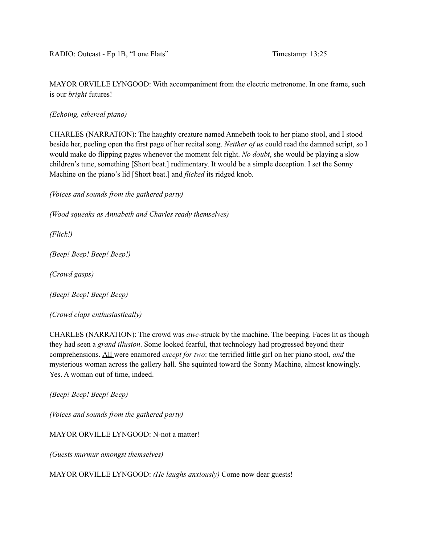MAYOR ORVILLE LYNGOOD: With accompaniment from the electric metronome. In one frame, such is our *bright* futures!

*(Echoing, ethereal piano)*

CHARLES (NARRATION): The haughty creature named Annebeth took to her piano stool, and I stood beside her, peeling open the first page of her recital song. *Neither of us* could read the damned script, so I would make do flipping pages whenever the moment felt right. *No doubt*, she would be playing a slow children's tune, something [Short beat.] rudimentary. It would be a simple deception. I set the Sonny Machine on the piano's lid [Short beat.] and *flicked* its ridged knob.

*(Voices and sounds from the gathered party)*

*(Wood squeaks as Annabeth and Charles ready themselves)*

*(Flick!)*

*(Beep! Beep! Beep! Beep!)*

*(Crowd gasps)*

*(Beep! Beep! Beep! Beep)*

*(Crowd claps enthusiastically)*

CHARLES (NARRATION): The crowd was *awe*-struck by the machine. The beeping. Faces lit as though they had seen a *grand illusion*. Some looked fearful, that technology had progressed beyond their comprehensions. All were enamored *except for two*: the terrified little girl on her piano stool, *and* the mysterious woman across the gallery hall. She squinted toward the Sonny Machine, almost knowingly. Yes. A woman out of time, indeed.

*(Beep! Beep! Beep! Beep)*

*(Voices and sounds from the gathered party)*

MAYOR ORVILLE LYNGOOD: N-not a matter!

*(Guests murmur amongst themselves)*

MAYOR ORVILLE LYNGOOD: *(He laughs anxiously)* Come now dear guests!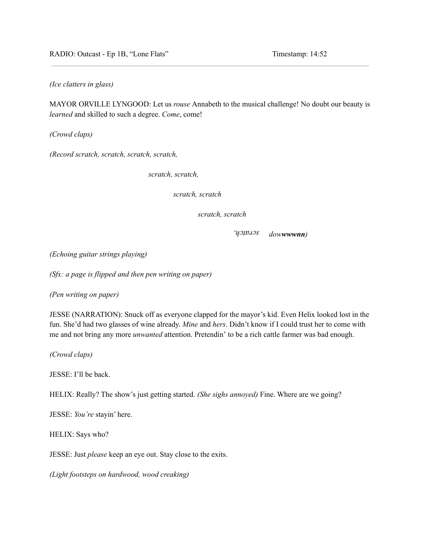RADIO: Outcast - Ep 1B, "Lone Flats" Timestamp: 14:52

*(Ice clatters in glass)*

MAYOR ORVILLE LYNGOOD: Let us *rouse* Annabeth to the musical challenge! No doubt our beauty is *learned* and skilled to such a degree. *Come*, come!

*(Crowd claps)*

*(Record scratch, scratch, scratch, scratch,*

*scratch, scratch,*

*scratch, scratch*

*scratch, scratch*

иэрлэг *dowwwwnn)*

*(Echoing guitar strings playing)*

*(Sfx: a page is flipped and then pen writing on paper)*

*(Pen writing on paper)*

JESSE (NARRATION): Snuck off as everyone clapped for the mayor's kid. Even Helix looked lost in the fun. She'd had two glasses of wine already. *Mine* and *hers*. Didn't know if I could trust her to come with me and not bring any more *unwanted* attention. Pretendin' to be a rich cattle farmer was bad enough.

*(Crowd claps)*

JESSE: I'll be back.

HELIX: Really? The show's just getting started. *(She sighs annoyed)* Fine. Where are we going?

JESSE: *You're* stayin' here.

HELIX: Says who?

JESSE: Just *please* keep an eye out. Stay close to the exits.

*(Light footsteps on hardwood, wood creaking)*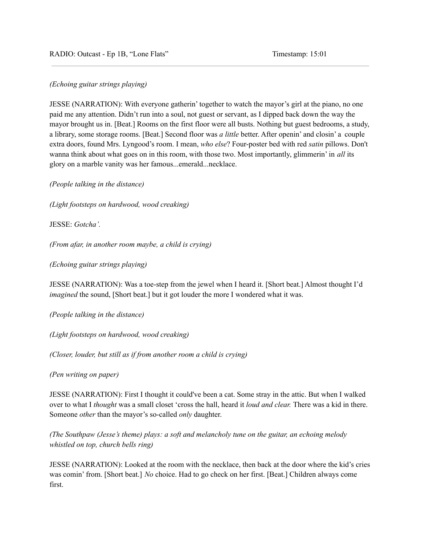### *(Echoing guitar strings playing)*

JESSE (NARRATION): With everyone gatherin' together to watch the mayor's girl at the piano, no one paid me any attention. Didn't run into a soul, not guest or servant, as I dipped back down the way the mayor brought us in. [Beat.] Rooms on the first floor were all busts. Nothing but guest bedrooms, a study, a library, some storage rooms. [Beat.] Second floor was *a little* better. After openin' and closin' a couple extra doors, found Mrs. Lyngood's room. I mean, *who else*? Four-poster bed with red *satin* pillows. Don't wanna think about what goes on in this room, with those two. Most importantly, glimmerin' in *all* its glory on a marble vanity was her famous...emerald...necklace.

*(People talking in the distance)*

*(Light footsteps on hardwood, wood creaking)*

JESSE: *Gotcha'.*

*(From afar, in another room maybe, a child is crying)*

*(Echoing guitar strings playing)*

JESSE (NARRATION): Was a toe-step from the jewel when I heard it. [Short beat.] Almost thought I'd *imagined* the sound, [Short beat.] but it got louder the more I wondered what it was.

*(People talking in the distance)*

*(Light footsteps on hardwood, wood creaking)*

*(Closer, louder, but still as if from another room a child is crying)*

*(Pen writing on paper)*

JESSE (NARRATION): First I thought it could've been a cat. Some stray in the attic. But when I walked over to what I *thought* was a small closet 'cross the hall, heard it *loud and clear.* There was a kid in there. Someone *other* than the mayor's so-called *only* daughter.

*(The Southpaw (Jesse's theme) plays: a soft and melancholy tune on the guitar, an echoing melody whistled on top, church bells ring)*

JESSE (NARRATION): Looked at the room with the necklace, then back at the door where the kid's cries was comin' from. [Short beat.] *No* choice. Had to go check on her first. [Beat.] Children always come first.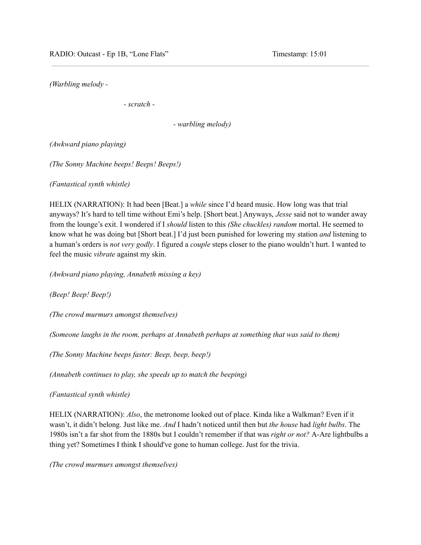*(Warbling melody -*

*- scratch -*

*- warbling melody)*

*(Awkward piano playing)*

*(The Sonny Machine beeps! Beeps! Beeps!)*

*(Fantastical synth whistle)*

HELIX (NARRATION): It had been [Beat.] a *while* since I'd heard music. How long was that trial anyways? It's hard to tell time without Emi's help. [Short beat.] Anyways, *Jesse* said not to wander away from the lounge's exit. I wondered if I *should* listen to this *(She chuckles) random* mortal. He seemed to know what he was doing but [Short beat.] I'd just been punished for lowering my station *and* listening to a human's orders is *not very godly*. I figured a *couple* steps closer to the piano wouldn't hurt. I wanted to feel the music *vibrate* against my skin.

*(Awkward piano playing, Annabeth missing a key)*

*(Beep! Beep! Beep!)*

*(The crowd murmurs amongst themselves)*

*(Someone laughs in the room, perhaps at Annabeth perhaps at something that was said to them)*

*(The Sonny Machine beeps faster: Beep, beep, beep!)*

*(Annabeth continues to play, she speeds up to match the beeping)*

*(Fantastical synth whistle)*

HELIX (NARRATION): *Also*, the metronome looked out of place. Kinda like a Walkman? Even if it wasn't, it didn't belong. Just like me. *And* I hadn't noticed until then but *the house* had *light bulbs*. The 1980s isn't a far shot from the 1880s but I couldn't remember if that was *right or not?* A-Are lightbulbs a thing yet? Sometimes I think I should've gone to human college. Just for the trivia.

*(The crowd murmurs amongst themselves)*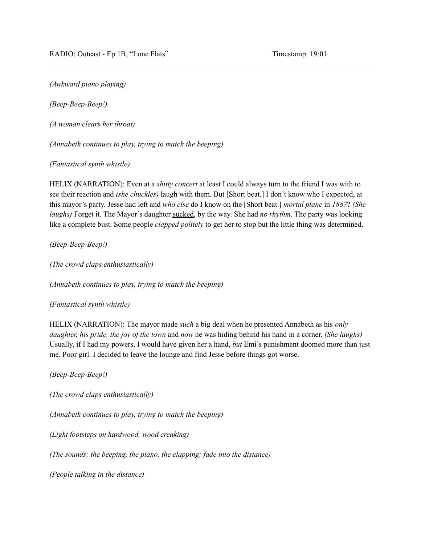*(Awkward piano playing)*

*(Beep-Beep-Beep!)*

*(A woman clears her throat)*

*(Annabeth continues to play, trying to match the beeping)*

*(Fantastical synth whistle)*

HELIX (NARRATION): Even at a *shitty concert* at least I could always turn to the friend I was with to see their reaction and *(she chuckles)* laugh with them. But [Short beat.] I don't know who I expected, at this mayor's party. Jesse had left and *who else* do I know on the [Short beat.] *mortal plane* in *1887*? *(She laughs)* Forget it. The Mayor's daughter sucked, by the way. She had *no rhythm*. The party was looking like a complete bust. Some people *clapped politely* to get her to stop but the little thing was determined.

*(Beep-Beep-Beep!)*

*(The crowd claps enthusiastically)*

*(Annabeth continues to play, trying to match the beeping)*

*(Fantastical synth whistle)*

HELIX (NARRATION): The mayor made *such* a big deal when he presented Annabeth as his *only daughter, his pride, the joy of the town* and *now* he was hiding behind his hand in a corner. *(She laughs)* Usually, if I had my powers, I would have given her a hand, *but* Emi's punishment doomed more than just me. Poor girl. I decided to leave the lounge and find Jesse before things got worse.

*(Beep-Beep-Beep!)*

*(The crowd claps enthusiastically)*

*(Annabeth continues to play, trying to match the beeping)*

*(Light footsteps on hardwood, wood creaking)*

*(The sounds; the beeping, the piano, the clapping; fade into the distance)*

*(People talking in the distance)*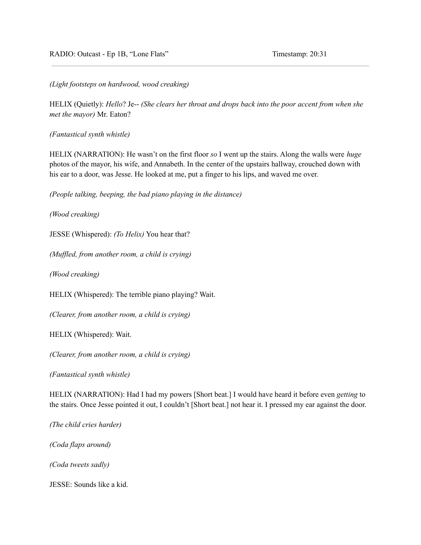*(Light footsteps on hardwood, wood creaking)*

HELIX (Quietly): *Hello*? Je-- *(She clears her throat and drops back into the poor accent from when she met the mayor)* Mr. Eaton?

*(Fantastical synth whistle)*

HELIX (NARRATION): He wasn't on the first floor *so* I went up the stairs. Along the walls were *huge* photos of the mayor, his wife, and Annabeth. In the center of the upstairs hallway, crouched down with his ear to a door, was Jesse. He looked at me, put a finger to his lips, and waved me over.

*(People talking, beeping, the bad piano playing in the distance)*

*(Wood creaking)*

JESSE (Whispered): *(To Helix)* You hear that?

*(Muf led, from another room, a child is crying)*

*(Wood creaking)*

HELIX (Whispered): The terrible piano playing? Wait.

*(Clearer, from another room, a child is crying)*

HELIX (Whispered): Wait.

*(Clearer, from another room, a child is crying)*

*(Fantastical synth whistle)*

HELIX (NARRATION): Had I had my powers [Short beat.] I would have heard it before even *getting* to the stairs. Once Jesse pointed it out, I couldn't [Short beat.] not hear it. I pressed my ear against the door.

*(The child cries harder)*

*(Coda flaps around)*

*(Coda tweets sadly)*

JESSE: Sounds like a kid.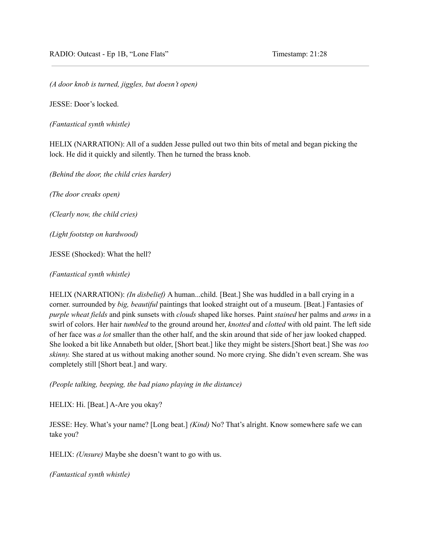*(A door knob is turned, jiggles, but doesn't open)*

JESSE: Door's locked.

*(Fantastical synth whistle)*

HELIX (NARRATION): All of a sudden Jesse pulled out two thin bits of metal and began picking the lock. He did it quickly and silently. Then he turned the brass knob.

*(Behind the door, the child cries harder)*

*(The door creaks open)*

*(Clearly now, the child cries)*

*(Light footstep on hardwood)*

JESSE (Shocked): What the hell?

*(Fantastical synth whistle)*

HELIX (NARRATION): *(In disbelief)* A human...child. [Beat.] She was huddled in a ball crying in a corner. surrounded by *big, beautiful* paintings that looked straight out of a museum. [Beat.] Fantasies of *purple wheat fields* and pink sunsets with *clouds* shaped like horses. Paint *stained* her palms and *arms* in a swirl of colors. Her hair *tumbled* to the ground around her, *knotted* and *clotted* with old paint. The left side of her face was *a lot* smaller than the other half, and the skin around that side of her jaw looked chapped. She looked a bit like Annabeth but older, [Short beat.] like they might be sisters.[Short beat.] She was *too skinny.* She stared at us without making another sound. No more crying. She didn't even scream. She was completely still [Short beat.] and wary.

*(People talking, beeping, the bad piano playing in the distance)*

HELIX: Hi. [Beat.] A-Are you okay?

JESSE: Hey. What's your name? [Long beat.] *(Kind)* No? That's alright. Know somewhere safe we can take you?

HELIX: *(Unsure)* Maybe she doesn't want to go with us.

*(Fantastical synth whistle)*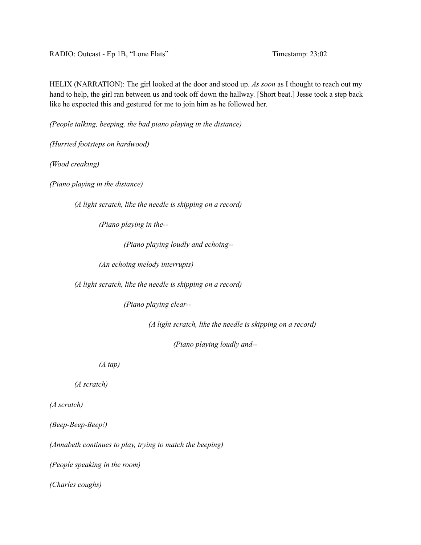HELIX (NARRATION): The girl looked at the door and stood up. *As soon* as I thought to reach out my hand to help, the girl ran between us and took off down the hallway. [Short beat.] Jesse took a step back like he expected this and gestured for me to join him as he followed her.

*(People talking, beeping, the bad piano playing in the distance)*

*(Hurried footsteps on hardwood)*

*(Wood creaking)*

*(Piano playing in the distance)*

*(A light scratch, like the needle is skipping on a record)*

*(Piano playing in the--*

*(Piano playing loudly and echoing--*

*(An echoing melody interrupts)*

*(A light scratch, like the needle is skipping on a record)*

*(Piano playing clear--*

*(A light scratch, like the needle is skipping on a record)*

*(Piano playing loudly and--*

*(A tap)*

*(A scratch)*

*(A scratch)*

*(Beep-Beep-Beep!)*

*(Annabeth continues to play, trying to match the beeping)*

*(People speaking in the room)*

*(Charles coughs)*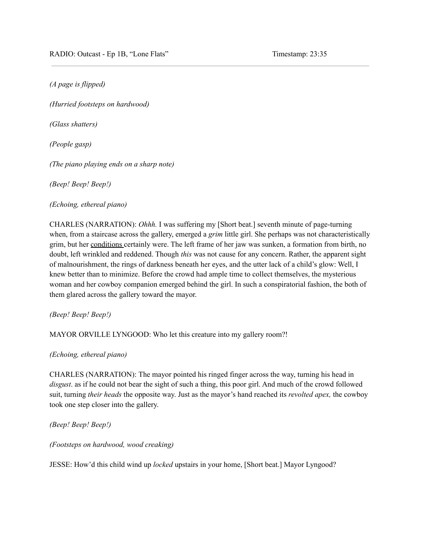*(A page is flipped)*

*(Hurried footsteps on hardwood)*

*(Glass shatters)*

*(People gasp)*

*(The piano playing ends on a sharp note)*

*(Beep! Beep! Beep!)*

*(Echoing, ethereal piano)*

CHARLES (NARRATION): *Ohhh.* I was suffering my [Short beat.] seventh minute of page-turning when, from a staircase across the gallery, emerged a *grim* little girl. She perhaps was not characteristically grim, but her conditions certainly were. The left frame of her jaw was sunken, a formation from birth, no doubt, left wrinkled and reddened. Though *this* was not cause for any concern. Rather, the apparent sight of malnourishment, the rings of darkness beneath her eyes, and the utter lack of a child's glow: Well, I knew better than to minimize. Before the crowd had ample time to collect themselves, the mysterious woman and her cowboy companion emerged behind the girl. In such a conspiratorial fashion, the both of them glared across the gallery toward the mayor.

*(Beep! Beep! Beep!)*

MAYOR ORVILLE LYNGOOD: Who let this creature into my gallery room?!

*(Echoing, ethereal piano)*

CHARLES (NARRATION): The mayor pointed his ringed finger across the way, turning his head in *disgust*. as if he could not bear the sight of such a thing, this poor girl. And much of the crowd followed suit, turning *their heads* the opposite way. Just as the mayor's hand reached its *revolted apex,* the cowboy took one step closer into the gallery.

*(Beep! Beep! Beep!)*

*(Footsteps on hardwood, wood creaking)*

JESSE: How'd this child wind up *locked* upstairs in your home, [Short beat.] Mayor Lyngood?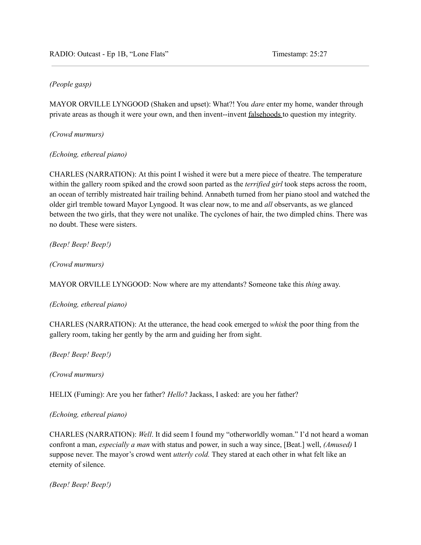# *(People gasp)*

MAYOR ORVILLE LYNGOOD (Shaken and upset): What?! You *dare* enter my home, wander through private areas as though it were your own, and then invent--invent falsehoods to question my integrity.

*(Crowd murmurs)*

# *(Echoing, ethereal piano)*

CHARLES (NARRATION): At this point I wished it were but a mere piece of theatre. The temperature within the gallery room spiked and the crowd soon parted as the *terrified girl* took steps across the room, an ocean of terribly mistreated hair trailing behind. Annabeth turned from her piano stool and watched the older girl tremble toward Mayor Lyngood. It was clear now, to me and *all* observants, as we glanced between the two girls, that they were not unalike. The cyclones of hair, the two dimpled chins. There was no doubt. These were sisters.

*(Beep! Beep! Beep!)*

*(Crowd murmurs)*

MAYOR ORVILLE LYNGOOD: Now where are my attendants? Someone take this *thing* away.

*(Echoing, ethereal piano)*

CHARLES (NARRATION): At the utterance, the head cook emerged to *whisk* the poor thing from the gallery room, taking her gently by the arm and guiding her from sight.

*(Beep! Beep! Beep!)*

*(Crowd murmurs)*

HELIX (Fuming): Are you her father? *Hello*? Jackass, I asked: are you her father?

## *(Echoing, ethereal piano)*

CHARLES (NARRATION): *Well*. It did seem I found my "otherworldly woman." I'd not heard a woman confront a man, *especially a man* with status and power, in such a way since, [Beat.] well, *(Amused)* I suppose never. The mayor's crowd went *utterly cold.* They stared at each other in what felt like an eternity of silence.

*(Beep! Beep! Beep!)*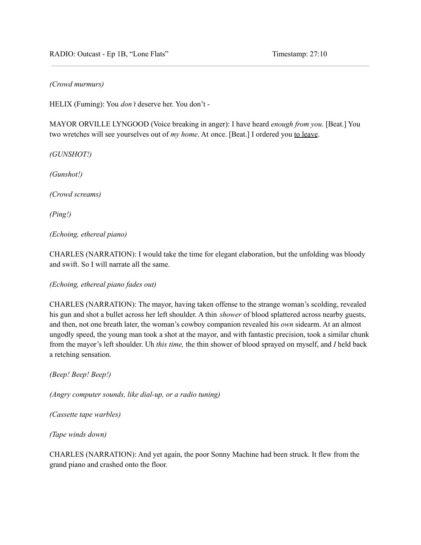### *(Crowd murmurs)*

HELIX (Fuming): You *don't* deserve her. You don't -

MAYOR ORVILLE LYNGOOD (Voice breaking in anger): I have heard *enough from you*. [Beat.] You two wretches will see yourselves out of *my home*. At once. [Beat.] I ordered you to leave.

*(GUNSHOT!)*

*(Gunshot!)*

*(Crowd screams)*

*(Ping!)*

*(Echoing, ethereal piano)*

CHARLES (NARRATION): I would take the time for elegant elaboration, but the unfolding was bloody and swift. So I will narrate all the same.

*(Echoing, ethereal piano fades out)*

CHARLES (NARRATION): The mayor, having taken offense to the strange woman's scolding, revealed his gun and shot a bullet across her left shoulder. A thin *shower* of blood splattered across nearby guests, and then, not one breath later, the woman's cowboy companion revealed his *own* sidearm. At an almost ungodly speed, the young man took a shot at the mayor, and with fantastic precision, took a similar chunk from the mayor's left shoulder. Uh *this time,* the thin shower of blood sprayed on myself, and *I* held back a retching sensation.

*(Beep! Beep! Beep!)*

*(Angry computer sounds, like dial-up, or a radio tuning)*

*(Cassette tape warbles)*

*(Tape winds down)*

CHARLES (NARRATION): And yet again, the poor Sonny Machine had been struck. It flew from the grand piano and crashed onto the floor.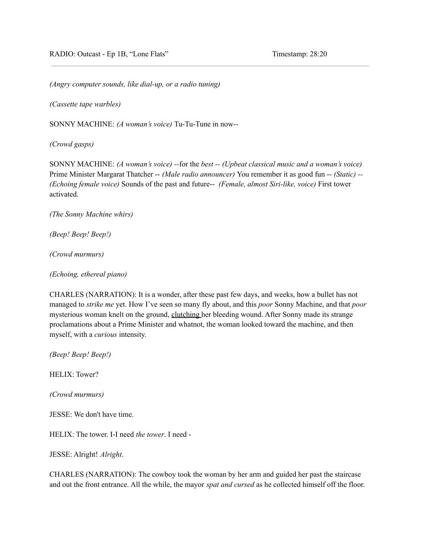*(Angry computer sounds, like dial-up, or a radio tuning)*

*(Cassette tape warbles)*

SONNY MACHINE: *(A woman's voice)* Tu-Tu-Tune in now--

*(Crowd gasps)*

SONNY MACHINE: *(A woman's voice) --*for the *best -- (Upbeat classical music and a woman's voice)* Prime Minister Margarat Thatcher -- *(Male radio announcer)* You remember it as good fun -- *(Static) -- (Echoing female voice)* Sounds of the past and future-- *(Female, almost Siri-like, voice)* First tower activated.

*(The Sonny Machine whirs)*

*(Beep! Beep! Beep!)*

*(Crowd murmurs)*

*(Echoing, ethereal piano)*

CHARLES (NARRATION): It is a wonder, after these past few days, and weeks, how a bullet has not managed to *strike me* yet. How I've seen so many fly about, and this *poor* Sonny Machine, and that *poor* mysterious woman knelt on the ground, clutching her bleeding wound. After Sonny made its strange proclamations about a Prime Minister and whatnot, the woman looked toward the machine, and then myself, with a *curious* intensity.

*(Beep! Beep! Beep!)*

HELIX: Tower?

*(Crowd murmurs)*

JESSE: We don't have time.

HELIX: The tower. I-I need *the tower*. I need -

JESSE: Alright! *Alright*.

CHARLES (NARRATION): The cowboy took the woman by her arm and guided her past the staircase and out the front entrance. All the while, the mayor *spat and cursed* as he collected himself off the floor.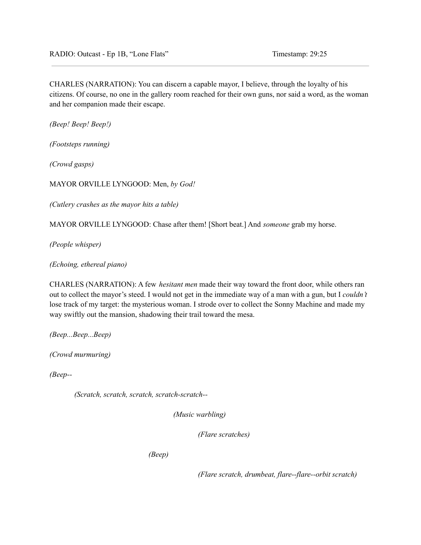CHARLES (NARRATION): You can discern a capable mayor, I believe, through the loyalty of his citizens. Of course, no one in the gallery room reached for their own guns, nor said a word, as the woman and her companion made their escape.

*(Beep! Beep! Beep!)*

*(Footsteps running)*

*(Crowd gasps)*

MAYOR ORVILLE LYNGOOD: Men, *by God!*

*(Cutlery crashes as the mayor hits a table)*

MAYOR ORVILLE LYNGOOD: Chase after them! [Short beat.] And *someone* grab my horse.

*(People whisper)*

*(Echoing, ethereal piano)*

CHARLES (NARRATION): A few *hesitant men* made their way toward the front door, while others ran out to collect the mayor's steed. I would not get in the immediate way of a man with a gun, but I *couldn't* lose track of my target: the mysterious woman. I strode over to collect the Sonny Machine and made my way swiftly out the mansion, shadowing their trail toward the mesa.

*(Beep...Beep...Beep)*

*(Crowd murmuring)*

*(Beep--*

*(Scratch, scratch, scratch, scratch-scratch--*

*(Music warbling)*

*(Flare scratches)*

*(Beep)*

*(Flare scratch, drumbeat, flare--flare--orbit scratch)*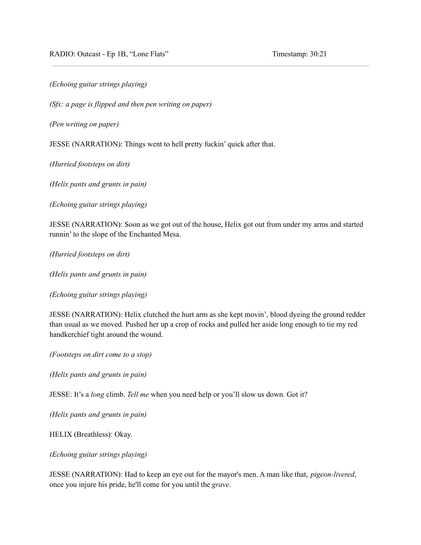*(Echoing guitar strings playing)*

*(Sfx: a page is flipped and then pen writing on paper)*

*(Pen writing on paper)*

JESSE (NARRATION): Things went to hell pretty fuckin' quick after that.

*(Hurried footsteps on dirt)*

*(Helix pants and grunts in pain)*

*(Echoing guitar strings playing)*

JESSE (NARRATION): Soon as we got out of the house, Helix got out from under my arms and started runnin' to the slope of the Enchanted Mesa.

*(Hurried footsteps on dirt)*

*(Helix pants and grunts in pain)*

*(Echoing guitar strings playing)*

JESSE (NARRATION): Helix clutched the hurt arm as she kept movin', blood dyeing the ground redder than usual as we moved. Pushed her up a crop of rocks and pulled her aside long enough to tie my red handkerchief tight around the wound.

*(Footsteps on dirt come to a stop)*

*(Helix pants and grunts in pain)*

JESSE: It's a *long* climb. *Tell me* when you need help or you'll slow us down. Got it?

*(Helix pants and grunts in pain)*

HELIX (Breathless): Okay.

*(Echoing guitar strings playing)*

JESSE (NARRATION): Had to keep an eye out for the mayor's men. A man like that, *pigeon-livered*, once you injure his pride, he'll come for you until the *grave*.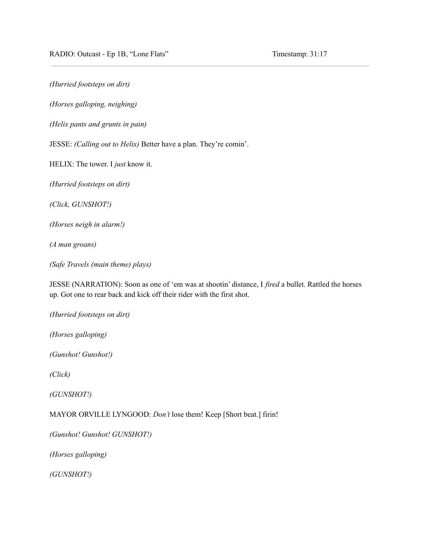*(Hurried footsteps on dirt)*

*(Horses galloping, neighing)*

*(Helix pants and grunts in pain)*

JESSE: *(Calling out to Helix)* Better have a plan. They're comin'.

HELIX: The tower. I *just* know it.

*(Hurried footsteps on dirt)*

*(Click, GUNSHOT!)*

*(Horses neigh in alarm!)*

*(A man groans)*

*(Safe Travels (main theme) plays)*

JESSE (NARRATION): Soon as one of 'em was at shootin' distance, I *fired* a bullet. Rattled the horses up. Got one to rear back and kick off their rider with the first shot.

*(Hurried footsteps on dirt)*

*(Horses galloping)*

*(Gunshot! Gunshot!)*

*(Click)*

*(GUNSHOT!)*

MAYOR ORVILLE LYNGOOD: *Don't* lose them! Keep [Short beat.] firin!

*(Gunshot! Gunshot! GUNSHOT!)*

*(Horses galloping)*

*(GUNSHOT!)*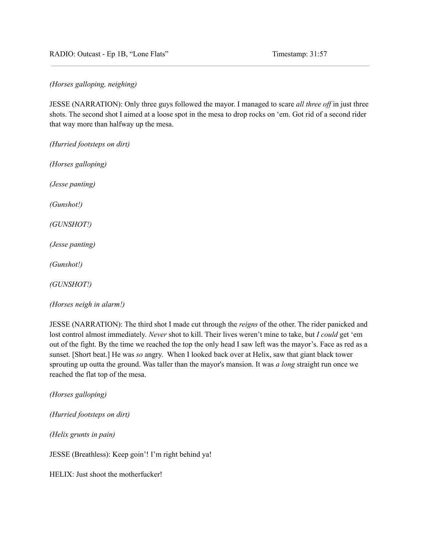RADIO: Outcast - Ep 1B, "Lone Flats" Timestamp: 31:57

*(Horses galloping, neighing)*

JESSE (NARRATION): Only three guys followed the mayor. I managed to scare *all three of* in just three shots. The second shot I aimed at a loose spot in the mesa to drop rocks on 'em. Got rid of a second rider that way more than halfway up the mesa.

*(Hurried footsteps on dirt)*

*(Horses galloping)*

*(Jesse panting)*

*(Gunshot!)*

*(GUNSHOT!)*

*(Jesse panting)*

*(Gunshot!)*

*(GUNSHOT!)*

*(Horses neigh in alarm!)*

JESSE (NARRATION): The third shot I made cut through the *reigns* of the other. The rider panicked and lost control almost immediately. *Never* shot to kill. Their lives weren't mine to take, but *I could* get 'em out of the fight. By the time we reached the top the only head I saw left was the mayor's. Face as red as a sunset. [Short beat.] He was *so* angry. When I looked back over at Helix, saw that giant black tower sprouting up outta the ground. Was taller than the mayor's mansion. It was *a long* straight run once we reached the flat top of the mesa.

*(Horses galloping)*

*(Hurried footsteps on dirt)*

*(Helix grunts in pain)*

JESSE (Breathless): Keep goin'! I'm right behind ya!

HELIX: Just shoot the motherfucker!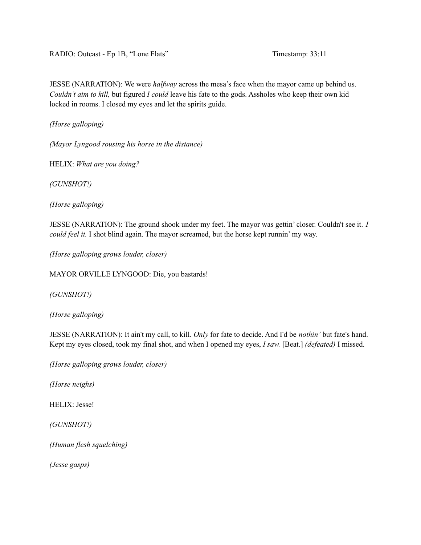JESSE (NARRATION): We were *halfway* across the mesa's face when the mayor came up behind us. *Couldn't aim to kill,* but figured *I could* leave his fate to the gods. Assholes who keep their own kid locked in rooms. I closed my eyes and let the spirits guide.

*(Horse galloping)*

*(Mayor Lyngood rousing his horse in the distance)*

HELIX: *What are you doing?*

*(GUNSHOT!)*

*(Horse galloping)*

JESSE (NARRATION): The ground shook under my feet. The mayor was gettin' closer. Couldn't see it. *I could feel it.* I shot blind again. The mayor screamed, but the horse kept runnin' my way.

*(Horse galloping grows louder, closer)*

MAYOR ORVILLE LYNGOOD: Die, you bastards!

*(GUNSHOT!)*

*(Horse galloping)*

JESSE (NARRATION): It ain't my call, to kill. *Only* for fate to decide. And I'd be *nothin'* but fate's hand. Kept my eyes closed, took my final shot, and when I opened my eyes, *I saw.* [Beat.] *(defeated)* I missed.

*(Horse galloping grows louder, closer)*

*(Horse neighs)*

HELIX: Jesse!

*(GUNSHOT!)*

*(Human flesh squelching)*

*(Jesse gasps)*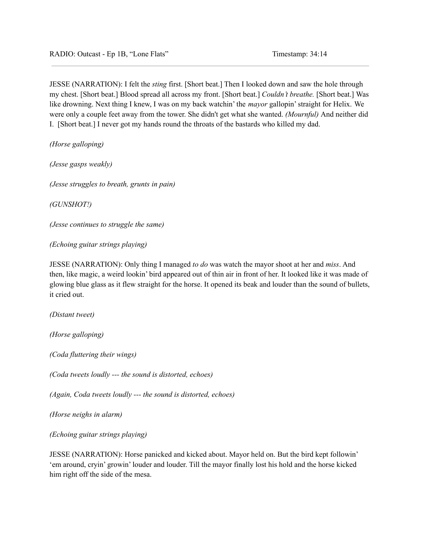JESSE (NARRATION): I felt the *sting* first. [Short beat.] Then I looked down and saw the hole through my chest. [Short beat.] Blood spread all across my front. [Short beat.] *Couldn't breathe.* [Short beat.] Was like drowning. Next thing I knew, I was on my back watchin' the *mayor* gallopin'straight for Helix. We were only a couple feet away from the tower. She didn't get what she wanted. *(Mournful)* And neither did I. [Short beat.] I never got my hands round the throats of the bastards who killed my dad.

*(Horse galloping)*

*(Jesse gasps weakly)*

*(Jesse struggles to breath, grunts in pain)*

*(GUNSHOT!)*

*(Jesse continues to struggle the same)*

*(Echoing guitar strings playing)*

JESSE (NARRATION): Only thing I managed *to do* was watch the mayor shoot at her and *miss*. And then, like magic, a weird lookin' bird appeared out of thin air in front of her. It looked like it was made of glowing blue glass as it flew straight for the horse. It opened its beak and louder than the sound of bullets, it cried out.

*(Distant tweet)*

*(Horse galloping)*

*(Coda fluttering their wings)*

*(Coda tweets loudly --- the sound is distorted, echoes)*

*(Again, Coda tweets loudly --- the sound is distorted, echoes)*

*(Horse neighs in alarm)*

*(Echoing guitar strings playing)*

JESSE (NARRATION): Horse panicked and kicked about. Mayor held on. But the bird kept followin' 'em around, cryin' growin' louder and louder. Till the mayor finally lost his hold and the horse kicked him right off the side of the mesa.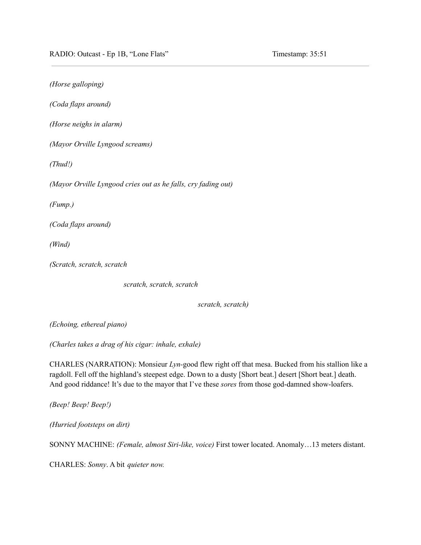*(Horse galloping) (Coda flaps around) (Horse neighs in alarm) (Mayor Orville Lyngood screams) (Thud!) (Mayor Orville Lyngood cries out as he falls, cry fading out) (Fump.) (Coda flaps around) (Wind) (Scratch, scratch, scratch*

*scratch, scratch, scratch*

*scratch, scratch)*

*(Echoing, ethereal piano)*

*(Charles takes a drag of his cigar: inhale, exhale)*

CHARLES (NARRATION): Monsieur *Lyn-*good flew right off that mesa. Bucked from his stallion like a ragdoll. Fell off the highland's steepest edge. Down to a dusty [Short beat.] desert [Short beat.] death. And good riddance! It's due to the mayor that I've these *sores* from those god-damned show-loafers.

*(Beep! Beep! Beep!)*

*(Hurried footsteps on dirt)*

SONNY MACHINE: *(Female, almost Siri-like, voice)* First tower located. Anomaly…13 meters distant.

CHARLES: *Sonny*. A bit *quieter now.*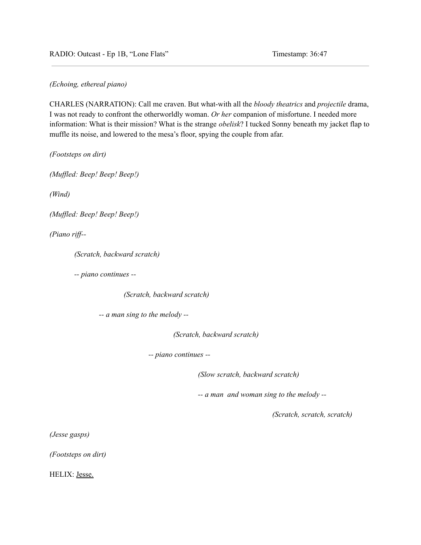*(Echoing, ethereal piano)*

CHARLES (NARRATION): Call me craven. But what-with all the *bloody theatrics* and *projectile* drama, I was not ready to confront the otherworldly woman. *Or her* companion of misfortune. I needed more information: What is their mission? What is the strange *obelisk*? I tucked Sonny beneath my jacket flap to muffle its noise, and lowered to the mesa's floor, spying the couple from afar.

*(Footsteps on dirt)*

*(Muf led: Beep! Beep! Beep!)*

*(Wind)*

*(Muf led: Beep! Beep! Beep!)*

*(Piano rif --*

*(Scratch, backward scratch)*

*-- piano continues --*

*(Scratch, backward scratch)*

*-- a man sing to the melody --*

*(Scratch, backward scratch)*

*-- piano continues --*

*(Slow scratch, backward scratch)*

*-- a man and woman sing to the melody --*

*(Scratch, scratch, scratch)*

*(Jesse gasps)*

*(Footsteps on dirt)*

HELIX: Jesse.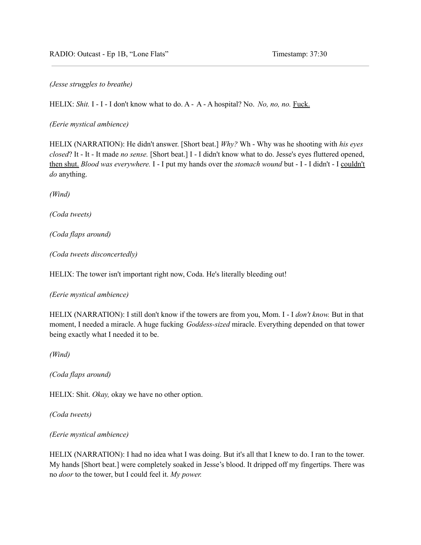*(Jesse struggles to breathe)*

HELIX: *Shit.* I - I - I don't know what to do. A - A - A hospital? No. *No, no, no.* Fuck.

*(Eerie mystical ambience)*

HELIX (NARRATION): He didn't answer. [Short beat.] *Why?* Wh - Why was he shooting with *his eyes closed*? It - It - It made *no sense.* [Short beat.] I - I didn't know what to do. Jesse's eyes fluttered opened, then shut. *Blood was everywhere.* I - I put my hands over the *stomach wound* but - I - I didn't - I couldn't *do* anything.

*(Wind)*

*(Coda tweets)*

*(Coda flaps around)*

*(Coda tweets disconcertedly)*

HELIX: The tower isn't important right now, Coda. He's literally bleeding out!

*(Eerie mystical ambience)*

HELIX (NARRATION): I still don't know if the towers are from you, Mom. I - I *don't know.* But in that moment, I needed a miracle. A huge fucking *Goddess-sized* miracle. Everything depended on that tower being exactly what I needed it to be.

*(Wind)*

*(Coda flaps around)*

HELIX: Shit. *Okay,* okay we have no other option.

*(Coda tweets)*

*(Eerie mystical ambience)*

HELIX (NARRATION): I had no idea what I was doing. But it's all that I knew to do. I ran to the tower. My hands [Short beat.] were completely soaked in Jesse's blood. It dripped off my fingertips. There was no *door* to the tower, but I could feel it. *My power.*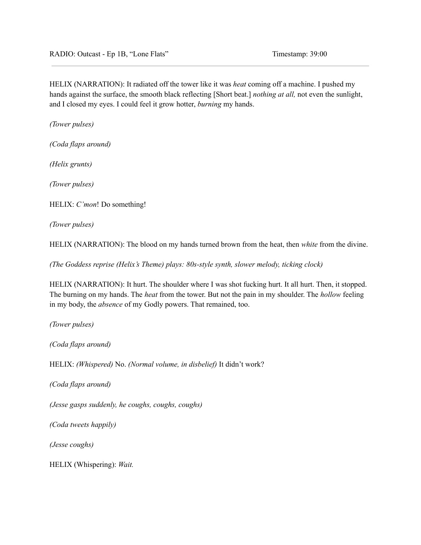HELIX (NARRATION): It radiated off the tower like it was *heat* coming off a machine. I pushed my hands against the surface, the smooth black reflecting [Short beat.] *nothing at all,* not even the sunlight, and I closed my eyes. I could feel it grow hotter, *burning* my hands.

*(Tower pulses)*

*(Coda flaps around)*

*(Helix grunts)*

*(Tower pulses)*

HELIX: *C'mon*! Do something!

*(Tower pulses)*

HELIX (NARRATION): The blood on my hands turned brown from the heat, then *white* from the divine.

*(The Goddess reprise (Helix's Theme) plays: 80s-style synth, slower melody, ticking clock)*

HELIX (NARRATION): It hurt. The shoulder where I was shot fucking hurt. It all hurt. Then, it stopped. The burning on my hands. The *heat* from the tower. But not the pain in my shoulder. The *hollow* feeling in my body, the *absence* of my Godly powers. That remained, too.

*(Tower pulses)*

*(Coda flaps around)*

HELIX: *(Whispered)* No. *(Normal volume, in disbelief)* It didn't work?

*(Coda flaps around)*

*(Jesse gasps suddenly, he coughs, coughs, coughs)*

*(Coda tweets happily)*

*(Jesse coughs)*

HELIX (Whispering): *Wait.*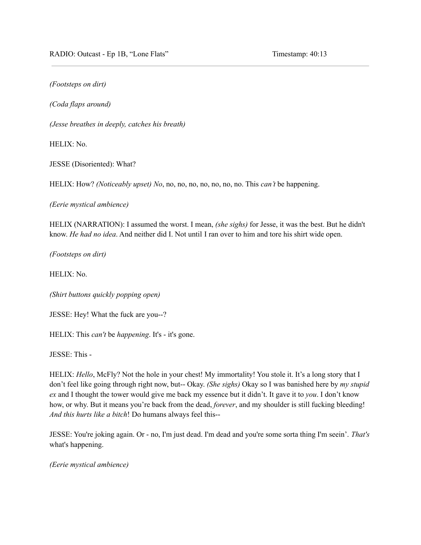*(Footsteps on dirt)*

*(Coda flaps around)*

*(Jesse breathes in deeply, catches his breath)*

HELIX: No.

JESSE (Disoriented): What?

HELIX: How? *(Noticeably upset) No*, no, no, no, no, no, no, no. This *can't* be happening.

*(Eerie mystical ambience)*

HELIX (NARRATION): I assumed the worst. I mean, *(she sighs)* for Jesse, it was the best. But he didn't know. *He had no idea*. And neither did I. Not until I ran over to him and tore his shirt wide open.

*(Footsteps on dirt)*

HELIX: No.

*(Shirt buttons quickly popping open)*

JESSE: Hey! What the fuck are you--?

HELIX: This *can't* be *happening*. It's - it's gone.

JESSE: This -

HELIX: *Hello*, McFly? Not the hole in your chest! My immortality! You stole it. It's a long story that I don't feel like going through right now, but-- Okay. *(She sighs)* Okay so I was banished here by *my stupid ex* and I thought the tower would give me back my essence but it didn't. It gave it to *you*. I don't know how, or why. But it means you're back from the dead, *forever*, and my shoulder is still fucking bleeding! *And this hurts like a bitch*! Do humans always feel this--

JESSE: You're joking again. Or - no, I'm just dead. I'm dead and you're some sorta thing I'm seein'. *That's* what's happening.

*(Eerie mystical ambience)*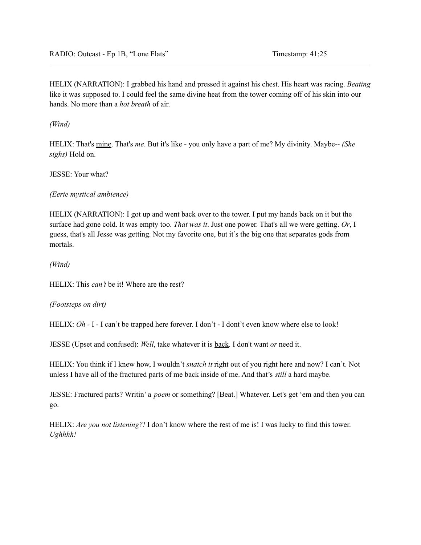HELIX (NARRATION): I grabbed his hand and pressed it against his chest. His heart was racing. *Beating* like it was supposed to. I could feel the same divine heat from the tower coming off of his skin into our hands. No more than a *hot breath* of air.

*(Wind)*

HELIX: That's mine. That's *me*. But it's like - you only have a part of me? My divinity. Maybe-- *(She sighs)* Hold on.

JESSE: Your what?

## *(Eerie mystical ambience)*

HELIX (NARRATION): I got up and went back over to the tower. I put my hands back on it but the surface had gone cold. It was empty too. *That was it*. Just one power. That's all we were getting. *Or*, I guess, that's all Jesse was getting. Not my favorite one, but it's the big one that separates gods from mortals.

*(Wind)*

HELIX: This *can't* be it! Where are the rest?

## *(Footsteps on dirt)*

HELIX: *Oh* - I - I can't be trapped here forever. I don't - I dont't even know where else to look!

JESSE (Upset and confused): *Well*, take whatever it is back. I don't want *or* need it.

HELIX: You think if I knew how, I wouldn't *snatch it* right out of you right here and now? I can't. Not unless I have all of the fractured parts of me back inside of me. And that's *still* a hard maybe.

JESSE: Fractured parts? Writin' a *poem* or something? [Beat.] Whatever. Let's get 'em and then you can go.

HELIX: *Are you not listening?!* I don't know where the rest of me is! I was lucky to find this tower. *Ughhhh!*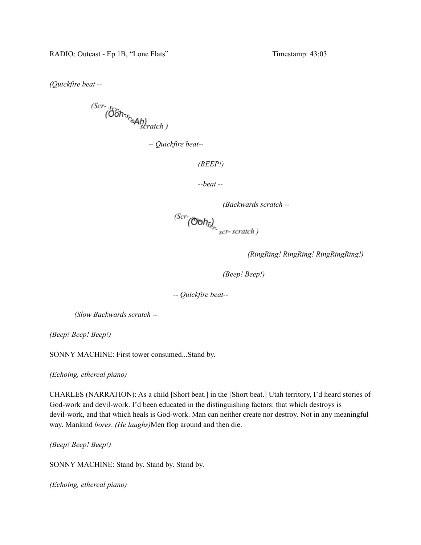*(Quickfire beat --*

 $\overbrace{(00h_{\gamma_c}}^{(Scr - s)}$ 

*-- Quickfire beat--*

```
(BEEP!)
```

```
--beat --
```
*(Backwards scratch --*)<br>*(Scr*-*(Ooh<sub>se)</sub>*<br>*scr-scratch*)

*(RingRing! RingRing! RingRingRing!)*

*(Beep! Beep!)*

*-- Quickfire beat--*

*(Slow Backwards scratch --*

*(Beep! Beep! Beep!)*

SONNY MACHINE: First tower consumed...Stand by.

*(Echoing, ethereal piano)*

CHARLES (NARRATION): As a child [Short beat.] in the [Short beat.] Utah territory, I'd heard stories of God-work and devil-work. I'd been educated in the distinguishing factors: that which destroys is devil-work, and that which heals is God-work. Man can neither create nor destroy. Not in any meaningful way. Mankind *bores*. *(He laughs)*Men flop around and then die.

*(Beep! Beep! Beep!)*

SONNY MACHINE: Stand by. Stand by. Stand by.

*(Echoing, ethereal piano)*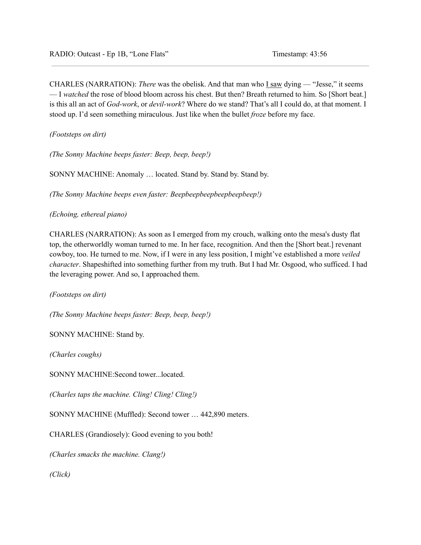CHARLES (NARRATION): *There* was the obelisk. And that man who I saw dying — "Jesse," it seems — I *watched* the rose of blood bloom across his chest. But then? Breath returned to him. So [Short beat.] is this all an act of *God-work*, or *devil-work*? Where do we stand? That's all I could do, at that moment. I stood up. I'd seen something miraculous. Just like when the bullet *froze* before my face.

*(Footsteps on dirt)*

*(The Sonny Machine beeps faster: Beep, beep, beep!)*

SONNY MACHINE: Anomaly … located. Stand by. Stand by. Stand by.

*(The Sonny Machine beeps even faster: Beepbeepbeepbeepbeepbeep!)*

*(Echoing, ethereal piano)*

CHARLES (NARRATION): As soon as I emerged from my crouch, walking onto the mesa's dusty flat top, the otherworldly woman turned to me. In her face, recognition. And then the [Short beat.] revenant cowboy, too. He turned to me. Now, if I were in any less position, I might've established a more *veiled character*. Shapeshifted into something further from my truth. But I had Mr. Osgood, who sufficed. I had the leveraging power. And so, I approached them.

*(Footsteps on dirt)*

*(The Sonny Machine beeps faster: Beep, beep, beep!)*

SONNY MACHINE: Stand by.

*(Charles coughs)*

SONNY MACHINE:Second tower...located.

*(Charles taps the machine. Cling! Cling! Cling!)*

SONNY MACHINE (Muffled): Second tower … 442,890 meters.

CHARLES (Grandiosely): Good evening to you both!

*(Charles smacks the machine. Clang!)*

*(Click)*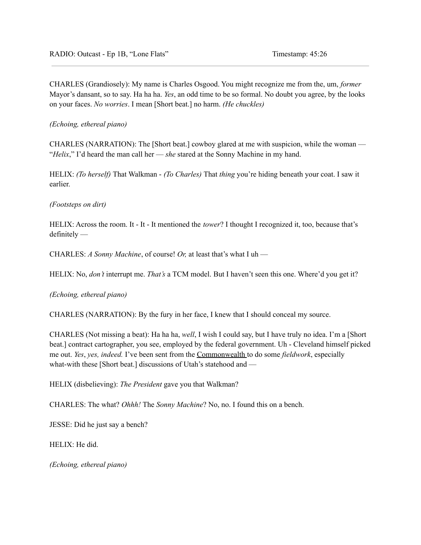CHARLES (Grandiosely): My name is Charles Osgood. You might recognize me from the, um, *former* Mayor's dansant, so to say. Ha ha ha. *Yes*, an odd time to be so formal. No doubt you agree, by the looks on your faces. *No worries*. I mean [Short beat.] no harm. *(He chuckles)*

*(Echoing, ethereal piano)*

CHARLES (NARRATION): The [Short beat.] cowboy glared at me with suspicion, while the woman — "*Helix*," I'd heard the man call her — *she* stared at the Sonny Machine in my hand.

HELIX: *(To herself)* That Walkman - *(To Charles)* That *thing* you're hiding beneath your coat. I saw it earlier.

# *(Footsteps on dirt)*

HELIX: Across the room. It - It - It mentioned the *tower*? I thought I recognized it, too, because that's definitely —

CHARLES: *A Sonny Machine*, of course! *Or,* at least that's what I uh —

HELIX: No, *don't* interrupt me. *That's* a TCM model. But I haven't seen this one. Where'd you get it?

*(Echoing, ethereal piano)*

CHARLES (NARRATION): By the fury in her face, I knew that I should conceal my source.

CHARLES (Not missing a beat): Ha ha ha, *well*, I wish I could say, but I have truly no idea. I'm a [Short beat.] contract cartographer, you see, employed by the federal government. Uh - Cleveland himself picked me out. *Yes*, *yes, indeed.* I've been sent from the Commonwealth to do some *fieldwork*, especially what-with these [Short beat.] discussions of Utah's statehood and —

HELIX (disbelieving): *The President* gave you that Walkman?

CHARLES: The what? *Ohhh!* The *Sonny Machine*? No, no. I found this on a bench.

JESSE: Did he just say a bench?

HELIX: He did.

*(Echoing, ethereal piano)*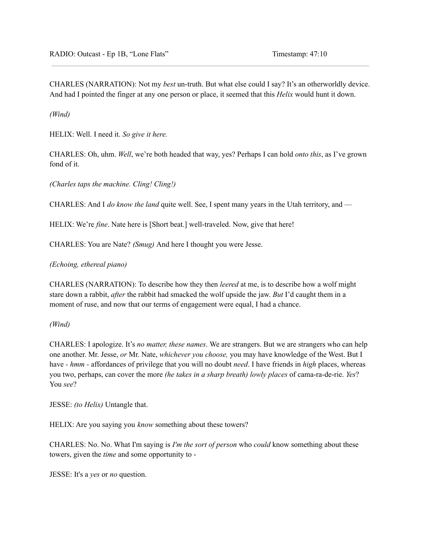CHARLES (NARRATION): Not my *best* un-truth. But what else could I say? It's an otherworldly device. And had I pointed the finger at any one person or place, it seemed that this *Helix* would hunt it down.

*(Wind)*

HELIX: Well. I need it. *So give it here.*

CHARLES: Oh, uhm. *Well*, we're both headed that way, yes? Perhaps I can hold *onto this*, as I've grown fond of it.

*(Charles taps the machine. Cling! Cling!)*

CHARLES: And I *do know the land* quite well. See, I spent many years in the Utah territory, and —

HELIX: We're *fine*. Nate here is [Short beat.] well-traveled. Now, give that here!

CHARLES: You are Nate? *(Smug)* And here I thought you were Jesse.

*(Echoing, ethereal piano)*

CHARLES (NARRATION): To describe how they then *leered* at me, is to describe how a wolf might stare down a rabbit, *after* the rabbit had smacked the wolf upside the jaw. *But* I'd caught them in a moment of ruse, and now that our terms of engagement were equal, I had a chance.

*(Wind)*

CHARLES: I apologize. It's *no matter, these names*. We are strangers. But we are strangers who can help one another. Mr. Jesse, *or* Mr. Nate, *whichever you choose,* you may have knowledge of the West. But I have *- hmm -* affordances of privilege that you will no doubt *need*. I have friends in *high* places, whereas you two, perhaps, can cover the more *(he takes in a sharp breath) lowly places* of cama-ra-de-rie. *Yes*? You *see*?

JESSE: *(to Helix)* Untangle that.

HELIX: Are you saying you *know* something about these towers?

CHARLES: No. No. What I'm saying is *I'm the sort of person* who *could* know something about these towers, given the *time* and some opportunity to -

JESSE: It's a *yes* or *no* question.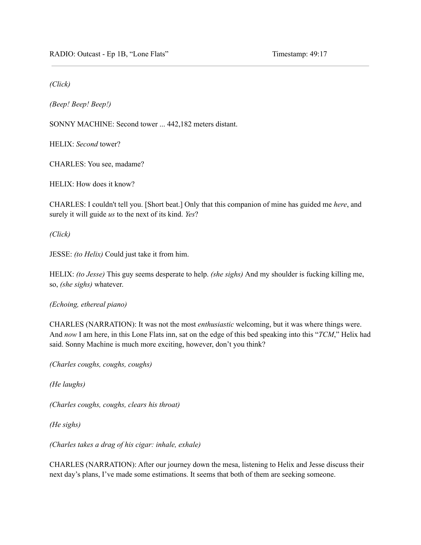*(Click)*

*(Beep! Beep! Beep!)*

SONNY MACHINE: Second tower ... 442,182 meters distant.

HELIX: *Second* tower?

CHARLES: You see, madame?

HELIX: How does it know?

CHARLES: I couldn't tell you. [Short beat.] Only that this companion of mine has guided me *here*, and surely it will guide *us* to the next of its kind. *Yes*?

*(Click)*

JESSE: *(to Helix)* Could just take it from him.

HELIX: *(to Jesse)* This guy seems desperate to help. *(she sighs)* And my shoulder is fucking killing me, so, *(she sighs)* whatever.

*(Echoing, ethereal piano)*

CHARLES (NARRATION): It was not the most *enthusiastic* welcoming, but it was where things were. And *now* I am here, in this Lone Flats inn, sat on the edge of this bed speaking into this "*TCM*," Helix had said. Sonny Machine is much more exciting, however, don't you think?

*(Charles coughs, coughs, coughs)*

*(He laughs)*

*(Charles coughs, coughs, clears his throat)*

*(He sighs)*

*(Charles takes a drag of his cigar: inhale, exhale)*

CHARLES (NARRATION): After our journey down the mesa, listening to Helix and Jesse discuss their next day's plans, I've made some estimations. It seems that both of them are seeking someone.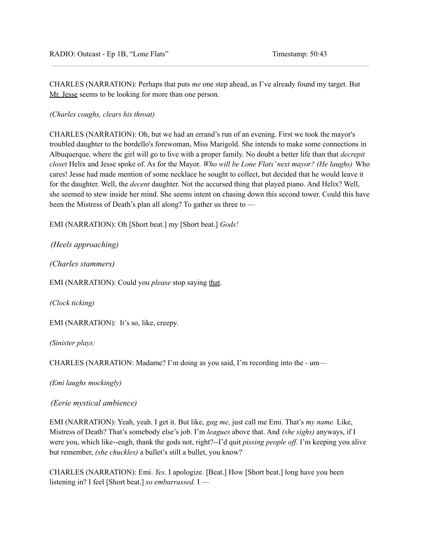CHARLES (NARRATION): Perhaps that puts *me* one step ahead, as I've already found my target. But Mr. Jesse seems to be looking for more than one person.

*(Charles coughs, clears his throat)*

CHARLES (NARRATION): Oh, but we had an errand's run of an evening. First we took the mayor's troubled daughter to the bordello's forewoman, Miss Marigold. She intends to make some connections in Albuquerque, where the girl will go to live with a proper family. No doubt a better life than that *decrepit closet* Helix and Jesse spoke of. As for the Mayor. *Who will be Lone Flats' next mayor? (He laughs)* Who cares! Jesse had made mention of some necklace he sought to collect, but decided that he would leave it for the daughter. Well, the *decent* daughter. Not the accursed thing that played piano. And Helix? Well, she seemed to stew inside her mind. She seems intent on chasing down this second tower. Could this have been the Mistress of Death's plan all along? To gather us three to —

EMI (NARRATION): Oh [Short beat.] my [Short beat.] *Gods!*

*(Heels approaching)*

*(Charles stammers)*

EMI (NARRATION): Could you *please* stop saying that.

*(Clock ticking)*

EMI (NARRATION): It's so, like, creepy.

*(Sinister plays:*

CHARLES (NARRATION: Madame? I'm doing as you said, I'm recording into the - um—

*(Emi laughs mockingly)*

*(Eerie mystical ambience)*

EMI (NARRATION): Yeah, yeah. I get it. But like, *gag me*, just call me Emi. That's *my name.* Like, Mistress of Death? That's somebody else's job. I'm *leagues* above that. And *(she sighs)* anyways, if I were you, which like--eugh, thank the gods not, right?--I'd quit *pissing people off*. I'm keeping you alive but remember, *(she chuckles)* a bullet's still a bullet, you know?

CHARLES (NARRATION): Emi. *Yes*. I apologize. [Beat.] How [Short beat.] long have you been listening in? I feel [Short beat.] *so embarrassed.* I —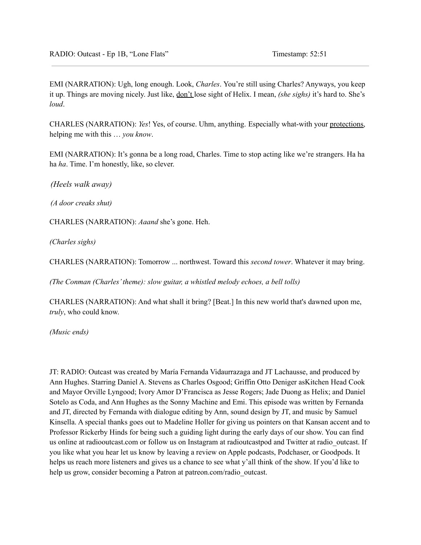EMI (NARRATION): Ugh, long enough. Look, *Charles*. You're still using Charles? Anyways, you keep it up. Things are moving nicely. Just like, don't lose sight of Helix. I mean, *(she sighs)* it's hard to. She's *loud*.

CHARLES (NARRATION): *Yes*! Yes, of course. Uhm, anything. Especially what-with your protections, helping me with this … *you know*.

EMI (NARRATION): It's gonna be a long road, Charles. Time to stop acting like we're strangers. Ha ha ha *ha*. Time. I'm honestly, like, so clever.

*(Heels walk away)*

*(A door creaks shut)*

CHARLES (NARRATION): *Aaand* she's gone. Heh.

*(Charles sighs)*

CHARLES (NARRATION): Tomorrow ... northwest. Toward this *second tower*. Whatever it may bring.

*(The Conman (Charles'theme): slow guitar, a whistled melody echoes, a bell tolls)*

CHARLES (NARRATION): And what shall it bring? [Beat.] In this new world that's dawned upon me, *truly*, who could know.

*(Music ends)*

JT: RADIO: Outcast was created by María Fernanda Vidaurrazaga and JT Lachausse, and produced by Ann Hughes. Starring Daniel A. Stevens as Charles Osgood; Griffin Otto Deniger asKitchen Head Cook and Mayor Orville Lyngood; Ivory Amor D'Francisca as Jesse Rogers; Jade Duong as Helix; and Daniel Sotelo as Coda, and Ann Hughes as the Sonny Machine and Emi. This episode was written by Fernanda and JT, directed by Fernanda with dialogue editing by Ann, sound design by JT, and music by Samuel Kinsella. A special thanks goes out to Madeline Holler for giving us pointers on that Kansan accent and to Professor Rickerby Hinds for being such a guiding light during the early days of our show. You can find us online at radiooutcast.com or follow us on Instagram at radioutcastpod and Twitter at radio\_outcast. If you like what you hear let us know by leaving a review on Apple podcasts, Podchaser, or Goodpods. It helps us reach more listeners and gives us a chance to see what y'all think of the show. If you'd like to help us grow, consider becoming a Patron at patreon.com/radio outcast.